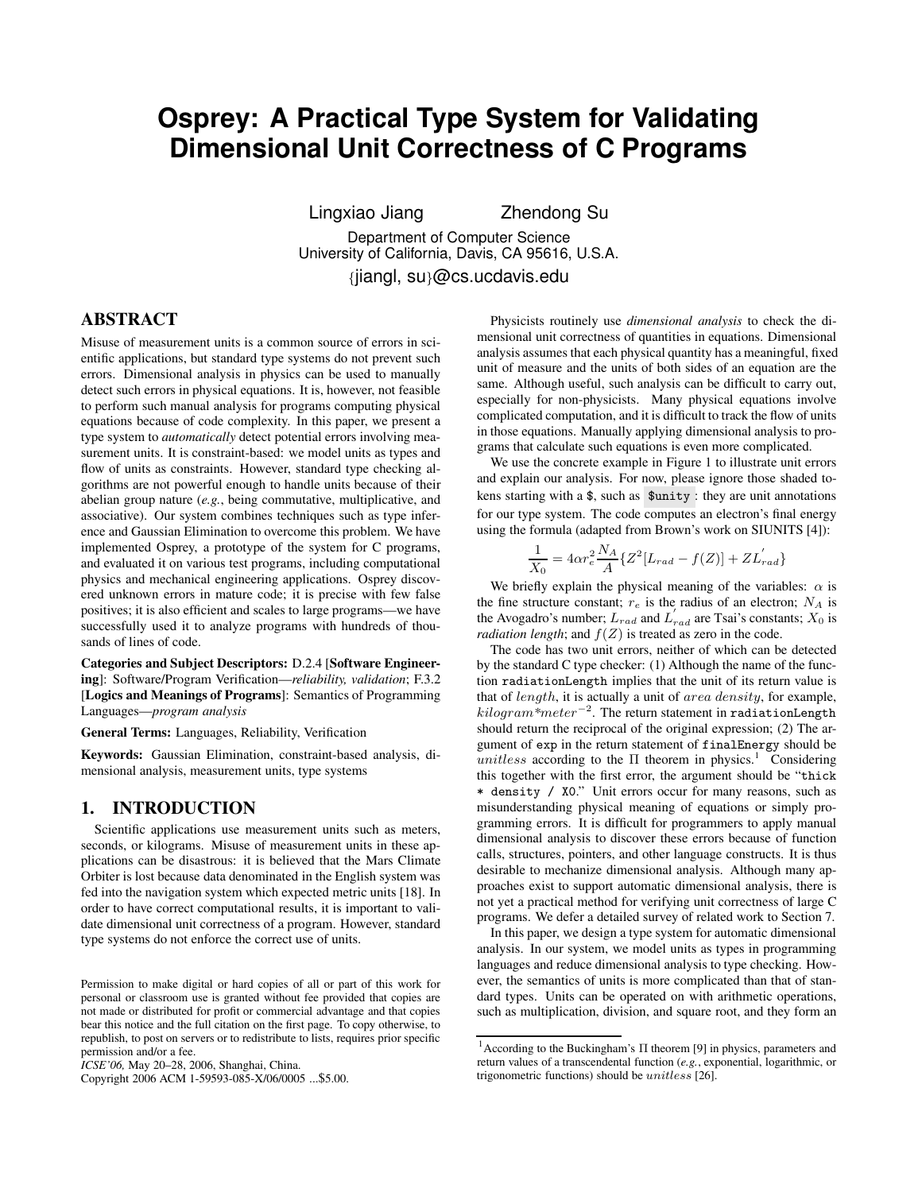# **Osprey: A Practical Type System for Validating Dimensional Unit Correctness of C Programs**

Lingxiao Jiang Zhendong Su

Department of Computer Science University of California, Davis, CA 95616, U.S.A. {jiangl, su}@cs.ucdavis.edu

# **ABSTRACT**

Misuse of measurement units is a common source of errors in scientific applications, but standard type systems do not prevent such errors. Dimensional analysis in physics can be used to manually detect such errors in physical equations. It is, however, not feasible to perform such manual analysis for programs computing physical equations because of code complexity. In this paper, we present a type system to *automatically* detect potential errors involving measurement units. It is constraint-based: we model units as types and flow of units as constraints. However, standard type checking algorithms are not powerful enough to handle units because of their abelian group nature (*e.g.*, being commutative, multiplicative, and associative). Our system combines techniques such as type inference and Gaussian Elimination to overcome this problem. We have implemented Osprey, a prototype of the system for C programs, and evaluated it on various test programs, including computational physics and mechanical engineering applications. Osprey discovered unknown errors in mature code; it is precise with few false positives; it is also efficient and scales to large programs—we have successfully used it to analyze programs with hundreds of thousands of lines of code.

**Categories and Subject Descriptors:** D.2.4 [**Software Engineering**]: Software/Program Verification—*reliability, validation*; F.3.2 [**Logics and Meanings of Programs**]: Semantics of Programming Languages—*program analysis*

**General Terms:** Languages, Reliability, Verification

**Keywords:** Gaussian Elimination, constraint-based analysis, dimensional analysis, measurement units, type systems

# **1. INTRODUCTION**

Scientific applications use measurement units such as meters, seconds, or kilograms. Misuse of measurement units in these applications can be disastrous: it is believed that the Mars Climate Orbiter is lost because data denominated in the English system was fed into the navigation system which expected metric units [18]. In order to have correct computational results, it is important to validate dimensional unit correctness of a program. However, standard type systems do not enforce the correct use of units.

Copyright 2006 ACM 1-59593-085-X/06/0005 ...\$5.00.

Physicists routinely use *dimensional analysis* to check the dimensional unit correctness of quantities in equations. Dimensional analysis assumes that each physical quantity has a meaningful, fixed unit of measure and the units of both sides of an equation are the same. Although useful, such analysis can be difficult to carry out, especially for non-physicists. Many physical equations involve complicated computation, and it is difficult to track the flow of units in those equations. Manually applying dimensional analysis to programs that calculate such equations is even more complicated.

We use the concrete example in Figure 1 to illustrate unit errors and explain our analysis. For now, please ignore those shaded tokens starting with a \$, such as \$unity : they are unit annotations for our type system. The code computes an electron's final energy using the formula (adapted from Brown's work on SIUNITS [4]):

$$
\frac{1}{X_0} = 4\alpha r_e^2 \frac{N_A}{A} \{ Z^2 [L_{rad} - f(Z)] + Z L_{rad} \}
$$

We briefly explain the physical meaning of the variables:  $\alpha$  is the fine structure constant;  $r_e$  is the radius of an electron;  $N_A$  is the Avogadro's number;  $L_{rad}$  and  $L_{rad}$  are Tsai's constants;  $X_0$  is *radiation length*; and  $f(Z)$  is treated as zero in the code.

The code has two unit errors, neither of which can be detected by the standard C type checker: (1) Although the name of the function radiationLength implies that the unit of its return value is that of length, it is actually a unit of area density, for example, kilogram*\**meter<sup>−</sup><sup>2</sup> . The return statement in radiationLength should return the reciprocal of the original expression; (2) The argument of exp in the return statement of finalEnergy should be unitless according to the  $\Pi$  theorem in physics.<sup>1</sup> Considering this together with the first error, the argument should be "thick \* density / X0." Unit errors occur for many reasons, such as misunderstanding physical meaning of equations or simply programming errors. It is difficult for programmers to apply manual dimensional analysis to discover these errors because of function calls, structures, pointers, and other language constructs. It is thus desirable to mechanize dimensional analysis. Although many approaches exist to support automatic dimensional analysis, there is not yet a practical method for verifying unit correctness of large C programs. We defer a detailed survey of related work to Section 7.

In this paper, we design a type system for automatic dimensional analysis. In our system, we model units as types in programming languages and reduce dimensional analysis to type checking. However, the semantics of units is more complicated than that of standard types. Units can be operated on with arithmetic operations, such as multiplication, division, and square root, and they form an

Permission to make digital or hard copies of all or part of this work for personal or classroom use is granted without fee provided that copies are not made or distributed for profit or commercial advantage and that copies bear this notice and the full citation on the first page. To copy otherwise, to republish, to post on servers or to redistribute to lists, requires prior specific permission and/or a fee.

*ICSE'06,* May 20–28, 2006, Shanghai, China.

<sup>&</sup>lt;sup>1</sup> According to the Buckingham's Π theorem [9] in physics, parameters and return values of a transcendental function (*e.g.*, exponential, logarithmic, or trigonometric functions) should be unitless [26].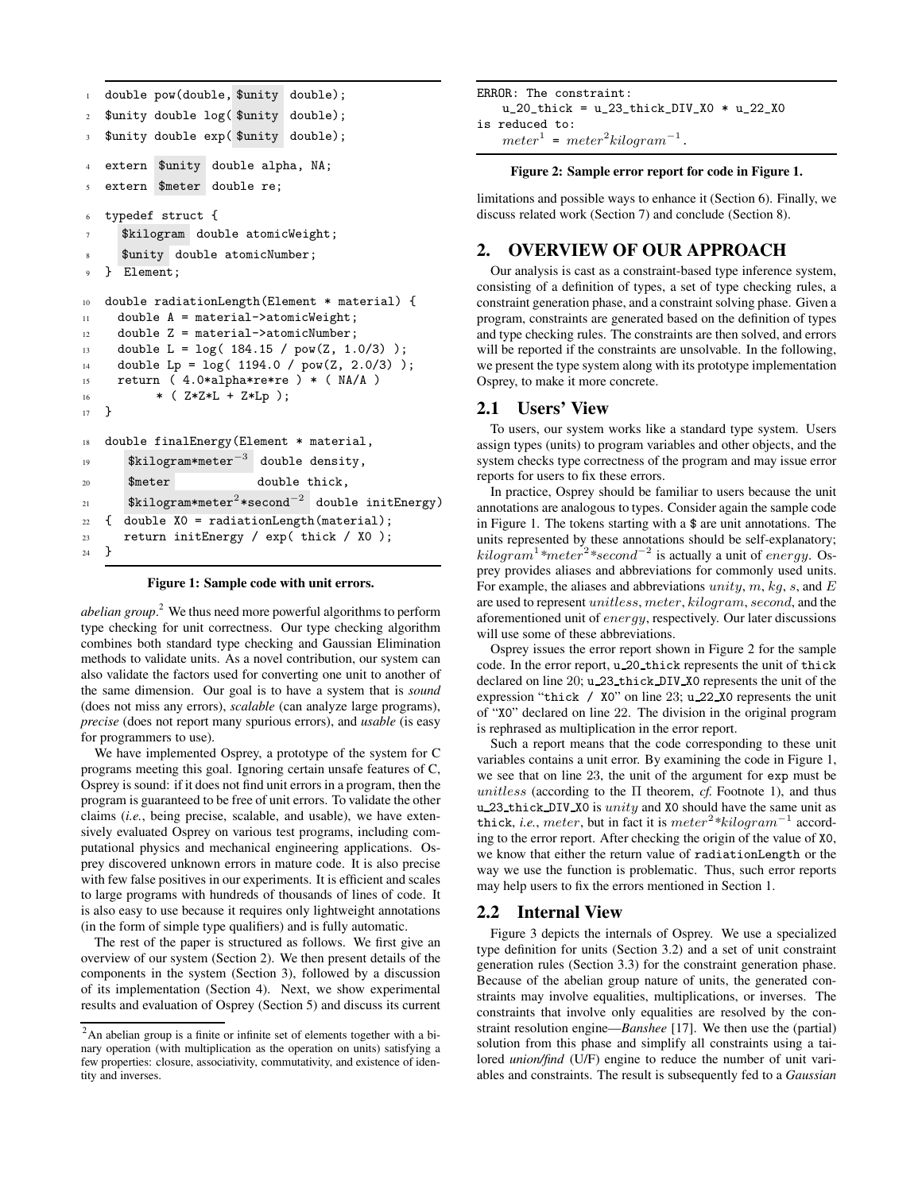```
1 double pow(double, $unity double);
2 $unity double log( $unity double);
3 $unity double exp( $unity double);
   extern $unity double alpha, NA;
   extern $meter double re;
6 typedef struct {
     $kilogram double atomicWeight;
     $unity double atomicNumber;
9 } Element;
10 double radiationLength(Element * material) {
11 double A = material->atomicWeight;
12 double Z = material->atomicNumber;
13 double L = log( 184.15 / pow(Z, 1.0/3) );
14 double Lp = log( 1194.0 / pow(Z, 2.0/3) );
15 return ( 4.0*alpha*re*re ) * ( NA/A )
16 * ( Z*Z*L + Z*Lp );
17 }
18 double finalEnergy (Element * material,
19 $kilogram*meter−3
                        double density,
20 $meter double thick,
_{21} $kilogram*meter^2*second^{-2} double initEnergy)
22 \frac{1}{22} { double X0 = radiationLength(material);
23 return initEnergy / exp( thick / X0 );
24 }
```
#### **Figure 1: Sample code with unit errors.**

*abelian group*. <sup>2</sup> We thus need more powerful algorithms to perform type checking for unit correctness. Our type checking algorithm combines both standard type checking and Gaussian Elimination methods to validate units. As a novel contribution, our system can also validate the factors used for converting one unit to another of the same dimension. Our goal is to have a system that is *sound* (does not miss any errors), *scalable* (can analyze large programs), *precise* (does not report many spurious errors), and *usable* (is easy for programmers to use).

We have implemented Osprey, a prototype of the system for C programs meeting this goal. Ignoring certain unsafe features of C, Osprey is sound: if it does not find unit errors in a program, then the program is guaranteed to be free of unit errors. To validate the other claims (*i.e.*, being precise, scalable, and usable), we have extensively evaluated Osprey on various test programs, including computational physics and mechanical engineering applications. Osprey discovered unknown errors in mature code. It is also precise with few false positives in our experiments. It is efficient and scales to large programs with hundreds of thousands of lines of code. It is also easy to use because it requires only lightweight annotations (in the form of simple type qualifiers) and is fully automatic.

The rest of the paper is structured as follows. We first give an overview of our system (Section 2). We then present details of the components in the system (Section 3), followed by a discussion of its implementation (Section 4). Next, we show experimental results and evaluation of Osprey (Section 5) and discuss its current

| ERROR: The constraint:                                  |  |  |  |
|---------------------------------------------------------|--|--|--|
| $u_{20}$ _thick = $u_{23}$ _thick_DIV_XO * $u_{22}$ _XO |  |  |  |
| is reduced to:                                          |  |  |  |
| $meter1 = meter2kilogram-1$ .                           |  |  |  |

### **Figure 2: Sample error report for code in Figure 1.**

limitations and possible ways to enhance it (Section 6). Finally, we discuss related work (Section 7) and conclude (Section 8).

# **2. OVERVIEW OF OUR APPROACH**

Our analysis is cast as a constraint-based type inference system, consisting of a definition of types, a set of type checking rules, a constraint generation phase, and a constraint solving phase. Given a program, constraints are generated based on the definition of types and type checking rules. The constraints are then solved, and errors will be reported if the constraints are unsolvable. In the following, we present the type system along with its prototype implementation Osprey, to make it more concrete.

### **2.1 Users' View**

To users, our system works like a standard type system. Users assign types (units) to program variables and other objects, and the system checks type correctness of the program and may issue error reports for users to fix these errors.

In practice, Osprey should be familiar to users because the unit annotations are analogous to types. Consider again the sample code in Figure 1. The tokens starting with a \$ are unit annotations. The units represented by these annotations should be self-explanatory; kilogram<sup>1</sup> *\**meter<sup>2</sup> *\**second<sup>−</sup><sup>2</sup> is actually a unit of energy. Osprey provides aliases and abbreviations for commonly used units. For example, the aliases and abbreviations  $unity, m, kg, s$ , and  $E$ are used to represent unitless, meter, kilogram, second, and the aforementioned unit of energy, respectively. Our later discussions will use some of these abbreviations.

Osprey issues the error report shown in Figure 2 for the sample code. In the error report, u\_20\_thick represents the unit of thick declared on line 20; u 23 thick DIV X0 represents the unit of the expression "thick / X0" on line 23; u 22 X0 represents the unit of "X0" declared on line 22. The division in the original program is rephrased as multiplication in the error report.

Such a report means that the code corresponding to these unit variables contains a unit error. By examining the code in Figure 1, we see that on line 23, the unit of the argument for exp must be unitless (according to the  $\Pi$  theorem, *cf.* Footnote 1), and thus u 23 thick  $DIV_XO$  is unity and XO should have the same unit as thick, *i.e.*, *meter*, but in fact it is *meter*<sup>2</sup>\*kilogram<sup>-1</sup> according to the error report. After checking the origin of the value of X0, we know that either the return value of radiationLength or the way we use the function is problematic. Thus, such error reports may help users to fix the errors mentioned in Section 1.

#### **2.2 Internal View**

Figure 3 depicts the internals of Osprey. We use a specialized type definition for units (Section 3.2) and a set of unit constraint generation rules (Section 3.3) for the constraint generation phase. Because of the abelian group nature of units, the generated constraints may involve equalities, multiplications, or inverses. The constraints that involve only equalities are resolved by the constraint resolution engine—*Banshee* [17]. We then use the (partial) solution from this phase and simplify all constraints using a tailored *union/find* (U/F) engine to reduce the number of unit variables and constraints. The result is subsequently fed to a *Gaussian*

<sup>&</sup>lt;sup>2</sup>An abelian group is a finite or infinite set of elements together with a binary operation (with multiplication as the operation on units) satisfying a few properties: closure, associativity, commutativity, and existence of identity and inverses.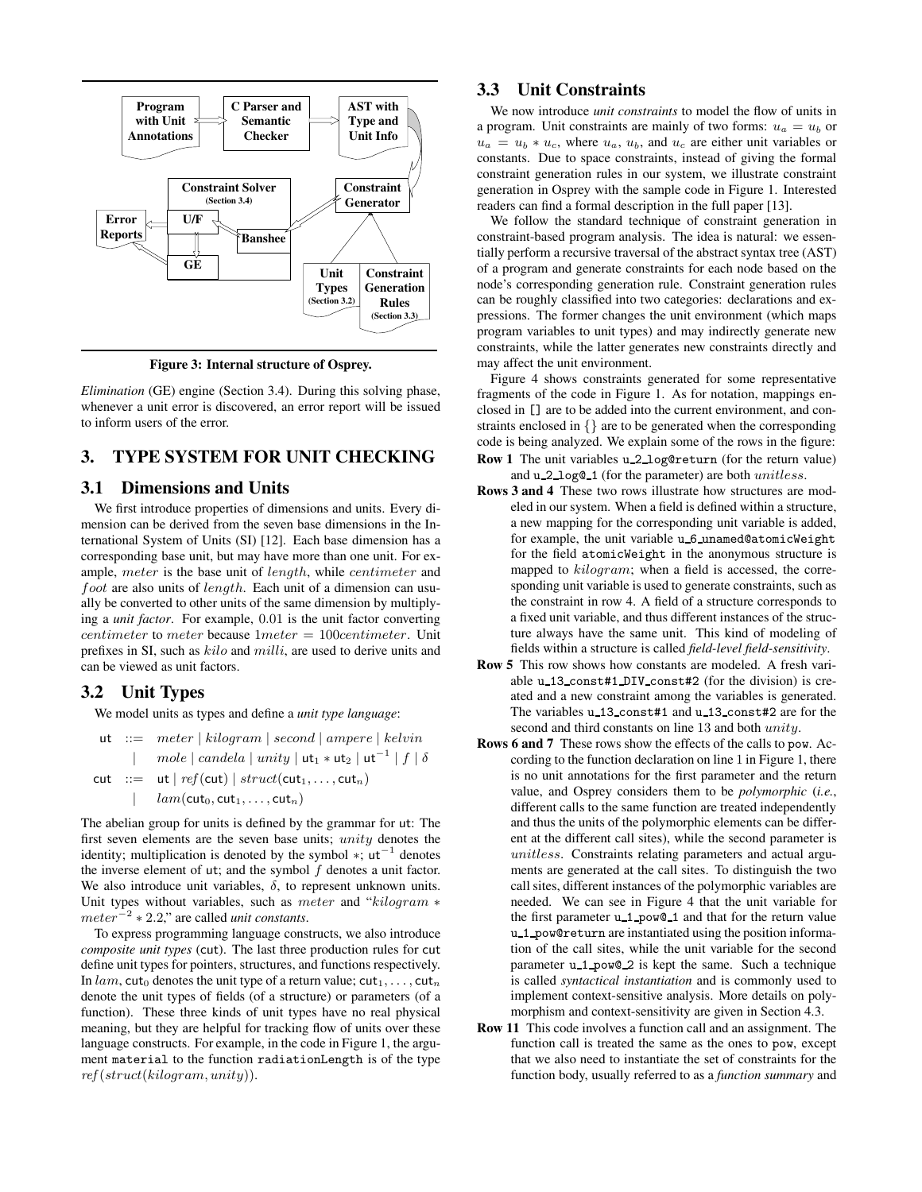

**Figure 3: Internal structure of Osprey.**

*Elimination* (GE) engine (Section 3.4). During this solving phase, whenever a unit error is discovered, an error report will be issued to inform users of the error.

# **3. TYPE SYSTEM FOR UNIT CHECKING**

# **3.1 Dimensions and Units**

We first introduce properties of dimensions and units. Every dimension can be derived from the seven base dimensions in the International System of Units (SI) [12]. Each base dimension has a corresponding base unit, but may have more than one unit. For example, meter is the base unit of length, while centimeter and foot are also units of length. Each unit of a dimension can usually be converted to other units of the same dimension by multiplying a *unit factor*. For example, 0.01 is the unit factor converting centimeter to meter because  $1$ meter  $= 100$ centimeter. Unit prefixes in SI, such as kilo and milli, are used to derive units and can be viewed as unit factors.

# **3.2 Unit Types**

We model units as types and define a *unit type language*:

$$
\begin{array}{lll} \mathsf{ut} & ::= & meter \mid kilogram \mid second \mid ampere \mid kelvin \\ & | & mole \mid candela \mid unity \mid \mathsf{ut}_1 * \mathsf{ut}_2 \mid \mathsf{ut}^{-1} \mid f \mid \delta \\ \mathsf{cut} & ::= & \mathsf{ut} \mid ref(\mathsf{cut}) \mid struct(\mathsf{cut}_1, \dots, \mathsf{cut}_n) \\ & | & lam(\mathsf{cut}_0, \mathsf{cut}_1, \dots, \mathsf{cut}_n) \end{array}
$$

The abelian group for units is defined by the grammar for ut: The first seven elements are the seven base units; unity denotes the identity; multiplication is denoted by the symbol  $*$ ; ut<sup>-1</sup> denotes the inverse element of  $u$ t; and the symbol  $f$  denotes a unit factor. We also introduce unit variables,  $\delta$ , to represent unknown units. Unit types without variables, such as meter and "kilogram ∗ meter<sup>−</sup><sup>2</sup> ∗ 2.2," are called *unit constants*.

To express programming language constructs, we also introduce *composite unit types* (cut). The last three production rules for cut define unit types for pointers, structures, and functions respectively. In  $lam$ , cut<sub>0</sub> denotes the unit type of a return value; cut<sub>1</sub>, ..., cut<sub>n</sub> denote the unit types of fields (of a structure) or parameters (of a function). These three kinds of unit types have no real physical meaning, but they are helpful for tracking flow of units over these language constructs. For example, in the code in Figure 1, the argument material to the function radiationLength is of the type  $ref(struct(kilogram, unity)).$ 

# **3.3 Unit Constraints**

We now introduce *unit constraints* to model the flow of units in a program. Unit constraints are mainly of two forms:  $u_a = u_b$  or  $u_a = u_b * u_c$ , where  $u_a$ ,  $u_b$ , and  $u_c$  are either unit variables or constants. Due to space constraints, instead of giving the formal constraint generation rules in our system, we illustrate constraint generation in Osprey with the sample code in Figure 1. Interested readers can find a formal description in the full paper [13].

We follow the standard technique of constraint generation in constraint-based program analysis. The idea is natural: we essentially perform a recursive traversal of the abstract syntax tree (AST) of a program and generate constraints for each node based on the node's corresponding generation rule. Constraint generation rules can be roughly classified into two categories: declarations and expressions. The former changes the unit environment (which maps program variables to unit types) and may indirectly generate new constraints, while the latter generates new constraints directly and may affect the unit environment.

Figure 4 shows constraints generated for some representative fragments of the code in Figure 1. As for notation, mappings enclosed in [] are to be added into the current environment, and constraints enclosed in {} are to be generated when the corresponding code is being analyzed. We explain some of the rows in the figure:

- **Row 1** The unit variables u 2 log@return (for the return value) and u 2 log@ 1 (for the parameter) are both *unitless*.
- **Rows 3 and 4** These two rows illustrate how structures are modeled in our system. When a field is defined within a structure, a new mapping for the corresponding unit variable is added, for example, the unit variable u 6 unamed@atomicWeight for the field atomicWeight in the anonymous structure is mapped to  $kilogram$ ; when a field is accessed, the corresponding unit variable is used to generate constraints, such as the constraint in row 4. A field of a structure corresponds to a fixed unit variable, and thus different instances of the structure always have the same unit. This kind of modeling of fields within a structure is called *field-level field-sensitivity*.
- **Row 5** This row shows how constants are modeled. A fresh variable u\_13\_const#1\_DIV\_const#2 (for the division) is created and a new constraint among the variables is generated. The variables u 13 const#1 and u 13 const#2 are for the second and third constants on line 13 and both *unity*.
- **Rows 6 and 7** These rows show the effects of the calls to pow. According to the function declaration on line 1 in Figure 1, there is no unit annotations for the first parameter and the return value, and Osprey considers them to be *polymorphic* (*i.e.*, different calls to the same function are treated independently and thus the units of the polymorphic elements can be different at the different call sites), while the second parameter is unitless. Constraints relating parameters and actual arguments are generated at the call sites. To distinguish the two call sites, different instances of the polymorphic variables are needed. We can see in Figure 4 that the unit variable for the first parameter u\_1\_pow@\_1 and that for the return value u\_1\_pow@return are instantiated using the position information of the call sites, while the unit variable for the second parameter u\_1\_pow@\_2 is kept the same. Such a technique is called *syntactical instantiation* and is commonly used to implement context-sensitive analysis. More details on polymorphism and context-sensitivity are given in Section 4.3.
- **Row 11** This code involves a function call and an assignment. The function call is treated the same as the ones to pow, except that we also need to instantiate the set of constraints for the function body, usually referred to as a *function summary* and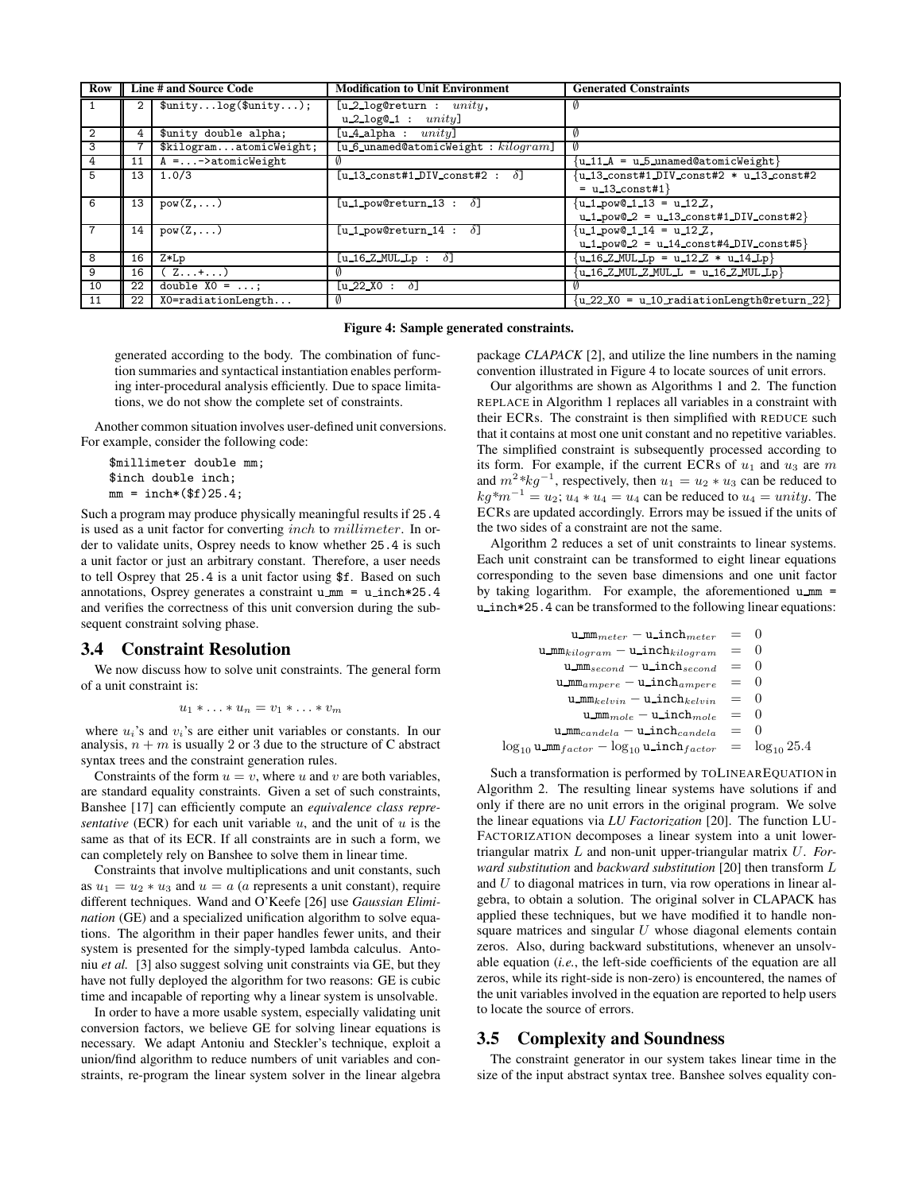| <b>Row</b>     |    | Line # and Source Code       | <b>Modification to Unit Environment</b>                                                  | <b>Generated Constraints</b>                                                 |  |  |
|----------------|----|------------------------------|------------------------------------------------------------------------------------------|------------------------------------------------------------------------------|--|--|
|                |    | \$unitylog(\$unity);         | $[u_2]$ log@return : $unity$ ,                                                           | M                                                                            |  |  |
|                |    |                              | $u_2 \log 1 :$ $unity$ ]                                                                 |                                                                              |  |  |
| $\overline{2}$ |    | \$unity double alpha;        | $[u_4$ alpha : $unitu]$                                                                  | Ø                                                                            |  |  |
| 3              |    | \$kilogramatomicWeight;      | $[u_6$ unamed@atomicWeight : $kilogram$ ]                                                | V)                                                                           |  |  |
| 4              | 11 | $A = \ldots -$ >atomicWeight |                                                                                          | $\{u_11_A = u_5\_unamed@atomicWeight\}$                                      |  |  |
| 5              | 13 | 1.0/3                        | $\lceil u_1 3 \cdot \text{const} \# 1 \cdot DIV \cdot \text{const} \# 2 : \delta \rceil$ | $\{u_13 \text{ const} \# 1 \text{ DIV const} \# 2 * u_13 \text{ const} \# 2$ |  |  |
|                |    |                              |                                                                                          | $= u 13 const#1$                                                             |  |  |
| 6              | 13 | $pow(Z, \ldots)$             | $[u_1]$ pow@return 13 : $\delta$ ]                                                       | $\{u_1, v_0u_1, 13 = u_12, Z\}$                                              |  |  |
|                |    |                              |                                                                                          | $u_1_{\text{pow}}$ = $u_13_{\text{const}}$ #1_DIV_const#2}                   |  |  |
|                | 14 | $pow(Z, \ldots)$             | $[u_1]$ pow@return 14 : $\delta$ ]                                                       | $\{u_1, v_0u_0, 1, 14 = u_12, Z\}$                                           |  |  |
|                |    |                              |                                                                                          | $u_1$ pow@ $2 = u_14$ const#4 DIV const#5}                                   |  |  |
| 8              | 16 | Z*Lp                         | $[u_16_2_MUL_Lp : \delta]$                                                               | $\{u_16 Z MULLp = u_12 Z * u_14 Lp\}$                                        |  |  |
| 9              | 16 | $(Z+)$                       |                                                                                          |                                                                              |  |  |
| 10             | 22 | double $X0 = ;$              | હ્ય 22…X0 : <i>δ</i> ી                                                                   |                                                                              |  |  |
| 11             | 22 | $X0$ =radiationLength        |                                                                                          | $\{u_22_X0 = u_10\}$ radiationLength@return 22}                              |  |  |

#### **Figure 4: Sample generated constraints.**

generated according to the body. The combination of function summaries and syntactical instantiation enables performing inter-procedural analysis efficiently. Due to space limitations, we do not show the complete set of constraints.

Another common situation involves user-defined unit conversions. For example, consider the following code:

```
$millimeter double mm;
$inch double inch;
mm = inch*($f)25.4;
```
Such a program may produce physically meaningful results if 25.4 is used as a unit factor for converting inch to millimeter. In order to validate units, Osprey needs to know whether 25.4 is such a unit factor or just an arbitrary constant. Therefore, a user needs to tell Osprey that 25.4 is a unit factor using \$f. Based on such annotations, Osprey generates a constraint u mm = u inch\*25.4 and verifies the correctness of this unit conversion during the subsequent constraint solving phase.

### **3.4 Constraint Resolution**

We now discuss how to solve unit constraints. The general form of a unit constraint is:

 $u_1 * \ldots * u_n = v_1 * \ldots * v_m$ 

where  $u_i$ 's and  $v_i$ 's are either unit variables or constants. In our analysis,  $n + m$  is usually 2 or 3 due to the structure of C abstract syntax trees and the constraint generation rules.

Constraints of the form  $u = v$ , where u and v are both variables, are standard equality constraints. Given a set of such constraints, Banshee [17] can efficiently compute an *equivalence class representative* (ECR) for each unit variable  $u$ , and the unit of  $u$  is the same as that of its ECR. If all constraints are in such a form, we can completely rely on Banshee to solve them in linear time.

Constraints that involve multiplications and unit constants, such as  $u_1 = u_2 * u_3$  and  $u = a$  (a represents a unit constant), require different techniques. Wand and O'Keefe [26] use *Gaussian Elimination* (GE) and a specialized unification algorithm to solve equations. The algorithm in their paper handles fewer units, and their system is presented for the simply-typed lambda calculus. Antoniu *et al.* [3] also suggest solving unit constraints via GE, but they have not fully deployed the algorithm for two reasons: GE is cubic time and incapable of reporting why a linear system is unsolvable.

In order to have a more usable system, especially validating unit conversion factors, we believe GE for solving linear equations is necessary. We adapt Antoniu and Steckler's technique, exploit a union/find algorithm to reduce numbers of unit variables and constraints, re-program the linear system solver in the linear algebra

package *CLAPACK* [2], and utilize the line numbers in the naming convention illustrated in Figure 4 to locate sources of unit errors.

Our algorithms are shown as Algorithms 1 and 2. The function REPLACE in Algorithm 1 replaces all variables in a constraint with their ECRs. The constraint is then simplified with REDUCE such that it contains at most one unit constant and no repetitive variables. The simplified constraint is subsequently processed according to its form. For example, if the current ECRs of  $u_1$  and  $u_3$  are m and  $m^2$ <sup>\*</sup>kg<sup>-1</sup>, respectively, then  $u_1 = u_2 * u_3$  can be reduced to  $kq^*m^{-1} = u_2$ ;  $u_4 * u_4 = u_4$  can be reduced to  $u_4 = unity$ . The ECRs are updated accordingly. Errors may be issued if the units of the two sides of a constraint are not the same.

Algorithm 2 reduces a set of unit constraints to linear systems. Each unit constraint can be transformed to eight linear equations corresponding to the seven base dimensions and one unit factor by taking logarithm. For example, the aforementioned u mm = u inch\*25.4 can be transformed to the following linear equations:

| $u$ mm $_{meter}$ - $u$ inch $_{meter}$                                   | $=$ 0 |                      |
|---------------------------------------------------------------------------|-------|----------------------|
| $u_{\text{mm} kilogram} - u_{\text{inch}_{kilogram}}$                     | $=$ 0 |                      |
| $u$ <sub>mmsecond</sub> - $u$ <sub>inchsecond</sub>                       | $=$ 0 |                      |
| u_mm <sub>ampere</sub> - u_inch <sub>ampere</sub>                         | $=$ 0 |                      |
| $u_{\text{m}}$ <sub>kelvin</sub> – $u_{\text{m}}$ ch <sub>kelvin</sub>    | $=$ 0 |                      |
| $u_{mmle} - u_{mmle}$                                                     | $=$ 0 |                      |
| $u_{mcandela} - u_{inchcandela}$                                          | $=$ 0 |                      |
| $\log_{10} \mathtt{u\_mm}_{factor} - \log_{10} \mathtt{u\_inch}_{factor}$ |       | $=$ $\log_{10} 25.4$ |

Such a transformation is performed by TOLINEAREQUATION in Algorithm 2. The resulting linear systems have solutions if and only if there are no unit errors in the original program. We solve the linear equations via *LU Factorization* [20]. The function LU-FACTORIZATION decomposes a linear system into a unit lowertriangular matrix L and non-unit upper-triangular matrix U. *Forward substitution* and *backward substitution* [20] then transform L and  $U$  to diagonal matrices in turn, via row operations in linear algebra, to obtain a solution. The original solver in CLAPACK has applied these techniques, but we have modified it to handle nonsquare matrices and singular  $U$  whose diagonal elements contain zeros. Also, during backward substitutions, whenever an unsolvable equation (*i.e.*, the left-side coefficients of the equation are all zeros, while its right-side is non-zero) is encountered, the names of the unit variables involved in the equation are reported to help users to locate the source of errors.

### **3.5 Complexity and Soundness**

The constraint generator in our system takes linear time in the size of the input abstract syntax tree. Banshee solves equality con-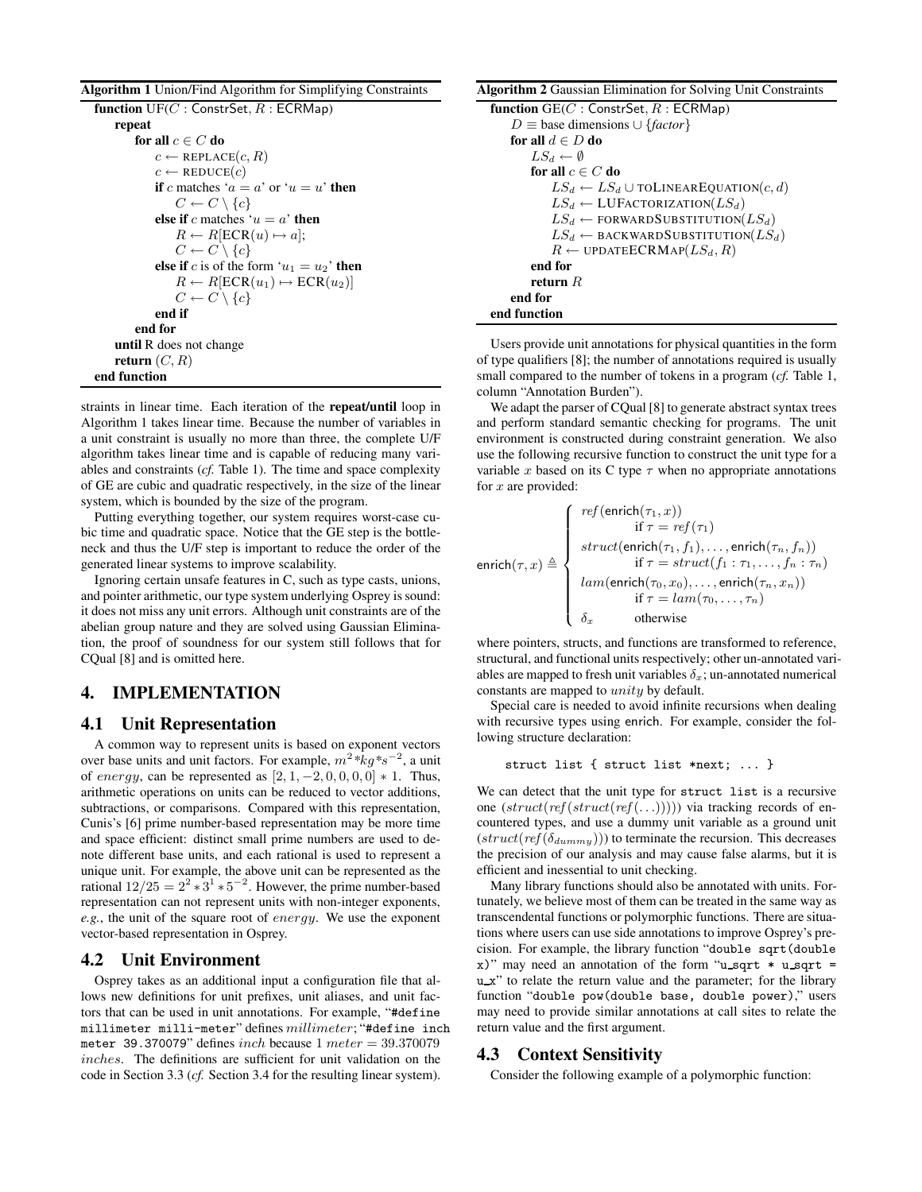| <b>Algorithm 1</b> Union/Find Algorithm for Simplifying Constraints |
|---------------------------------------------------------------------|
| <b>function</b> $UF(C : \text{Construct}, R : \text{ECRMap})$       |
| repeat                                                              |
| for all $c \in C$ do                                                |
| $c \leftarrow \text{REPLACE}(c, R)$                                 |
| $c \leftarrow \text{REDUCE}(c)$                                     |
| if c matches ' $a = a$ ' or ' $u = u$ ' then                        |
| $C \leftarrow C \setminus \{c\}$                                    |
| else if c matches ' $u = a$ ' then                                  |
| $R \leftarrow R[ECR(u) \mapsto a];$                                 |
| $C \leftarrow C \setminus \{c\}$                                    |
| <b>else if</b> c is of the form ' $u_1 = u_2$ ' <b>then</b>         |
| $R \leftarrow R[ECR(u_1) \mapsto ECR(u_2)]$                         |
| $C \leftarrow C \setminus \{c\}$                                    |
| end if                                                              |
| end for                                                             |
| <b>until</b> R does not change                                      |
| return $(C, R)$                                                     |
| end function                                                        |

straints in linear time. Each iteration of the **repeat/until** loop in Algorithm 1 takes linear time. Because the number of variables in a unit constraint is usually no more than three, the complete U/F algorithm takes linear time and is capable of reducing many variables and constraints (*cf.* Table 1). The time and space complexity of GE are cubic and quadratic respectively, in the size of the linear system, which is bounded by the size of the program.

Putting everything together, our system requires worst-case cubic time and quadratic space. Notice that the GE step is the bottleneck and thus the U/F step is important to reduce the order of the generated linear systems to improve scalability.

Ignoring certain unsafe features in C, such as type casts, unions, and pointer arithmetic, our type system underlying Osprey is sound: it does not miss any unit errors. Although unit constraints are of the abelian group nature and they are solved using Gaussian Elimination, the proof of soundness for our system still follows that for CQual [8] and is omitted here.

# **4. IMPLEMENTATION**

### **4.1 Unit Representation**

A common way to represent units is based on exponent vectors over base units and unit factors. For example,  $m^2 * kg * s^{-2}$ , a unit of *energy*, can be represented as  $[2, 1, -2, 0, 0, 0, 0] * 1$ . Thus, arithmetic operations on units can be reduced to vector additions, subtractions, or comparisons. Compared with this representation, Cunis's [6] prime number-based representation may be more time and space efficient: distinct small prime numbers are used to denote different base units, and each rational is used to represent a unique unit. For example, the above unit can be represented as the rational  $12/25 = 2^2 \times 3^1 \times 5^{-2}$ . However, the prime number-based representation can not represent units with non-integer exponents, *e.g.*, the unit of the square root of energy. We use the exponent vector-based representation in Osprey.

# **4.2 Unit Environment**

Osprey takes as an additional input a configuration file that allows new definitions for unit prefixes, unit aliases, and unit factors that can be used in unit annotations. For example, "#define millimeter milli-meter" defines millimeter; "#define inch meter 39.370079" defines inch because  $1$  meter = 39.370079 inches. The definitions are sufficient for unit validation on the code in Section 3.3 (*cf.* Section 3.4 for the resulting linear system).

**Algorithm 2** Gaussian Elimination for Solving Unit Constraints

| <b>function</b> $GE(C : \text{Construct}, R : ECRMap)$    |
|-----------------------------------------------------------|
| $D \equiv$ base dimensions $\cup$ { <i>factor</i> }       |
| for all $d \in D$ do                                      |
| $LS_d \leftarrow \emptyset$                               |
| for all $c \in C$ do                                      |
| $LS_d \leftarrow LS_d \cup \text{TOLINEAREQUATION}(c, d)$ |
| $LS_d \leftarrow \text{LUFACTORIZATION}(LS_d)$            |
| $LS_d \leftarrow$ FORWARDSUBSTITUTION( $LS_d$ )           |
| $LS_d \leftarrow$ BACKWARDSUBSTITUTION( $LS_d$ )          |
| $R \leftarrow$ UPDATEECRMAP $(LS_d, R)$                   |
| end for                                                   |
| return $R$                                                |
| end for                                                   |
| end function                                              |
|                                                           |

Users provide unit annotations for physical quantities in the form of type qualifiers [8]; the number of annotations required is usually small compared to the number of tokens in a program (*cf.* Table 1, column "Annotation Burden").

We adapt the parser of CQual [8] to generate abstract syntax trees and perform standard semantic checking for programs. The unit environment is constructed during constraint generation. We also use the following recursive function to construct the unit type for a variable x based on its C type  $\tau$  when no appropriate annotations for  $x$  are provided:

$$
\textsf{enrich}(\tau, x) \triangleq \left\{ \begin{array}{c} \mathit{ref}(\textsf{enrich}(\tau_1, x)) \\ \text{if } \tau = \mathit{ref}(\tau_1) \\ \text{struct}(\textsf{enrich}(\tau_1, f_1), \dots, \textsf{enrich}(\tau_n, f_n)) \\ \text{if } \tau = \text{struct}(f_1 : \tau_1, \dots, f_n : \tau_n) \\ \text{lam}(\textsf{enrich}(\tau_0, x_0), \dots, \textsf{enrich}(\tau_n, x_n)) \\ \text{if } \tau = \text{lam}(\tau_0, \dots, \tau_n) \\ \delta_x \qquad \text{otherwise} \end{array} \right.
$$

where pointers, structs, and functions are transformed to reference, structural, and functional units respectively; other un-annotated variables are mapped to fresh unit variables  $\delta_x$ ; un-annotated numerical constants are mapped to unity by default.

Special care is needed to avoid infinite recursions when dealing with recursive types using enrich. For example, consider the following structure declaration:

struct list { struct list \*next; ... }

We can detect that the unit type for struct list is a recursive one  $(struct(ref(x...))))$ ) via tracking records of encountered types, and use a dummy unit variable as a ground unit  $(struct(ref(\delta_{dummy}))$ ) to terminate the recursion. This decreases the precision of our analysis and may cause false alarms, but it is efficient and inessential to unit checking.

Many library functions should also be annotated with units. Fortunately, we believe most of them can be treated in the same way as transcendental functions or polymorphic functions. There are situations where users can use side annotations to improve Osprey's precision. For example, the library function "double sqrt(double  $x$ )" may need an annotation of the form "u sqrt  $*$  u sqrt = u\_x" to relate the return value and the parameter; for the library function "double pow(double base, double power)," users may need to provide similar annotations at call sites to relate the return value and the first argument.

# **4.3 Context Sensitivity**

Consider the following example of a polymorphic function: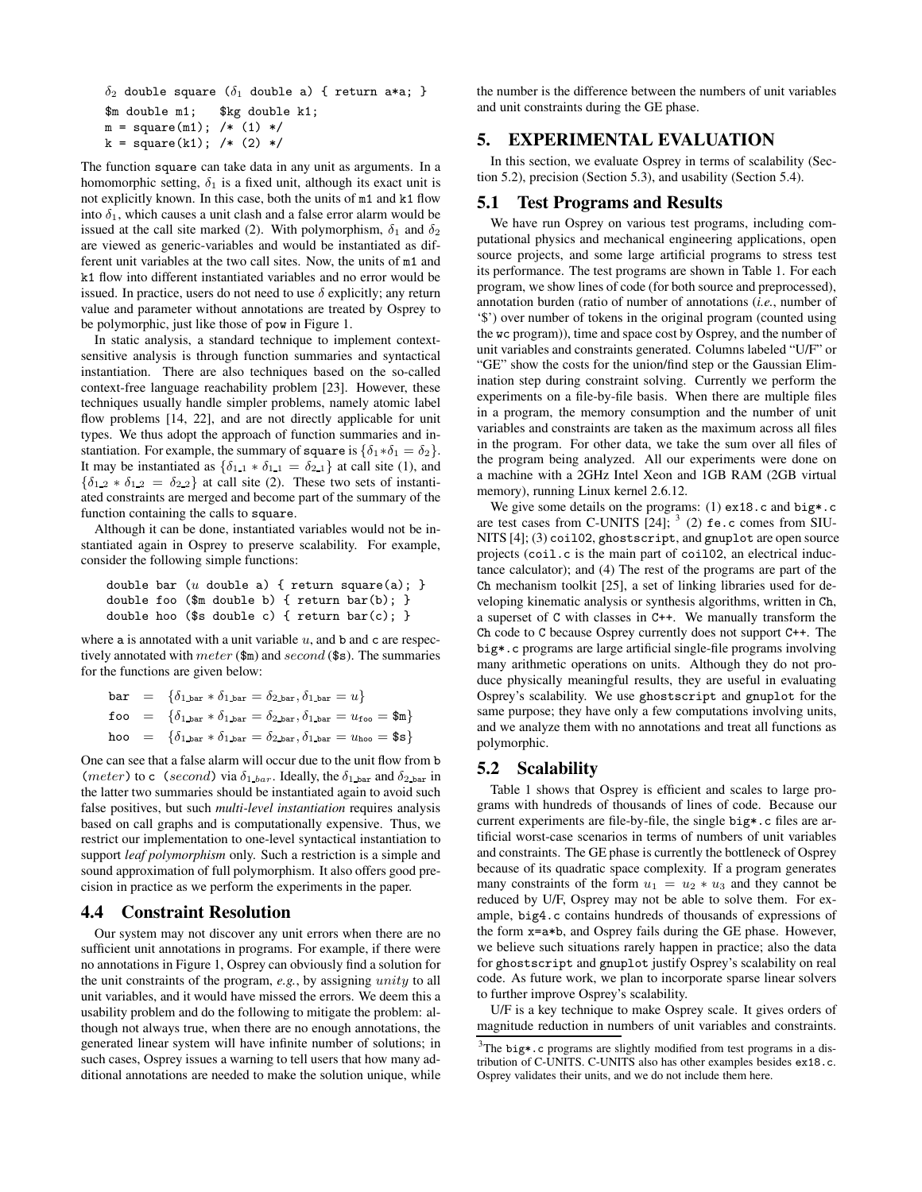```
\delta_2 double square (\delta_1 double a) { return a*a; }
$m double m1; $kg double k1;
m = square(m1); /* (1) */
k = square(k1); /* (2) */
```
The function square can take data in any unit as arguments. In a homomorphic setting,  $\delta_1$  is a fixed unit, although its exact unit is not explicitly known. In this case, both the units of m1 and k1 flow into  $\delta_1$ , which causes a unit clash and a false error alarm would be issued at the call site marked (2). With polymorphism,  $\delta_1$  and  $\delta_2$ are viewed as generic-variables and would be instantiated as different unit variables at the two call sites. Now, the units of m1 and k1 flow into different instantiated variables and no error would be issued. In practice, users do not need to use  $\delta$  explicitly; any return value and parameter without annotations are treated by Osprey to be polymorphic, just like those of pow in Figure 1.

In static analysis, a standard technique to implement contextsensitive analysis is through function summaries and syntactical instantiation. There are also techniques based on the so-called context-free language reachability problem [23]. However, these techniques usually handle simpler problems, namely atomic label flow problems [14, 22], and are not directly applicable for unit types. We thus adopt the approach of function summaries and instantiation. For example, the summary of square is  $\{\delta_1 * \delta_1 = \delta_2\}.$ It may be instantiated as  $\{\delta_{1,1} * \delta_{1,1} = \delta_{2,1}\}\$  at call site (1), and  ${\delta_{1,2} * \delta_{1,2}} = {\delta_{2,2}}$  at call site (2). These two sets of instantiated constraints are merged and become part of the summary of the function containing the calls to square.

Although it can be done, instantiated variables would not be instantiated again in Osprey to preserve scalability. For example, consider the following simple functions:

```
double bar (u double a) { return square(a); }
double foo ($m double b) { return bar(b); }
double hoo ($s double c) { return bar(c); }
```
where a is annotated with a unit variable  $u$ , and b and c are respectively annotated with *meter* ( $\text{Im}$ ) and *second* ( $\text{Im}$ ). The summaries for the functions are given below:

$$
\begin{array}{rcl}\n\texttt{bar} & = & \{ \delta_{1 \text{ bar}} * \delta_{1 \text{ bar}} = \delta_{2 \text{ bar}}, \delta_{1 \text{ bar}} = u \} \\
\texttt{foo} & = & \{ \delta_{1 \text{ bar}} * \delta_{1 \text{ bar}} = \delta_{2 \text{ bar}}, \delta_{1 \text{ bar}} = u_{\text{foo}} = \text{\$m$} \} \\
\texttt{hoo} & = & \{ \delta_{1 \text{ bar}} * \delta_{1 \text{ bar}} = \delta_{2 \text{ bar}}, \delta_{1 \text{ bar}} = u_{\text{loo}} = \text{\$s$} \}\n\end{array}
$$

One can see that a false alarm will occur due to the unit flow from b (meter) to c (second) via  $\delta_{1 \text{ bar}}$ . Ideally, the  $\delta_{1 \text{ bar}}$  and  $\delta_{2 \text{ bar}}$  in the latter two summaries should be instantiated again to avoid such false positives, but such *multi-level instantiation* requires analysis based on call graphs and is computationally expensive. Thus, we restrict our implementation to one-level syntactical instantiation to support *leaf polymorphism* only. Such a restriction is a simple and sound approximation of full polymorphism. It also offers good precision in practice as we perform the experiments in the paper.

### **4.4 Constraint Resolution**

Our system may not discover any unit errors when there are no sufficient unit annotations in programs. For example, if there were no annotations in Figure 1, Osprey can obviously find a solution for the unit constraints of the program, *e.g.*, by assigning unity to all unit variables, and it would have missed the errors. We deem this a usability problem and do the following to mitigate the problem: although not always true, when there are no enough annotations, the generated linear system will have infinite number of solutions; in such cases, Osprey issues a warning to tell users that how many additional annotations are needed to make the solution unique, while the number is the difference between the numbers of unit variables and unit constraints during the GE phase.

# **5. EXPERIMENTAL EVALUATION**

In this section, we evaluate Osprey in terms of scalability (Section 5.2), precision (Section 5.3), and usability (Section 5.4).

### **5.1 Test Programs and Results**

We have run Osprey on various test programs, including computational physics and mechanical engineering applications, open source projects, and some large artificial programs to stress test its performance. The test programs are shown in Table 1. For each program, we show lines of code (for both source and preprocessed), annotation burden (ratio of number of annotations (*i.e.*, number of '\$') over number of tokens in the original program (counted using the wc program)), time and space cost by Osprey, and the number of unit variables and constraints generated. Columns labeled "U/F" or "GE" show the costs for the union/find step or the Gaussian Elimination step during constraint solving. Currently we perform the experiments on a file-by-file basis. When there are multiple files in a program, the memory consumption and the number of unit variables and constraints are taken as the maximum across all files in the program. For other data, we take the sum over all files of the program being analyzed. All our experiments were done on a machine with a 2GHz Intel Xeon and 1GB RAM (2GB virtual memory), running Linux kernel 2.6.12.

We give some details on the programs: (1) ex18.c and big\*.c are test cases from C-UNITS  $[24]$ ; <sup>3</sup> (2) fe.c comes from SIU-NITS [4]; (3) coil02, ghostscript, and gnuplot are open source projects (coil.c is the main part of coil02, an electrical inductance calculator); and (4) The rest of the programs are part of the Ch mechanism toolkit [25], a set of linking libraries used for developing kinematic analysis or synthesis algorithms, written in Ch, a superset of C with classes in C++. We manually transform the Ch code to C because Osprey currently does not support C++. The big\*.c programs are large artificial single-file programs involving many arithmetic operations on units. Although they do not produce physically meaningful results, they are useful in evaluating Osprey's scalability. We use ghostscript and gnuplot for the same purpose; they have only a few computations involving units, and we analyze them with no annotations and treat all functions as polymorphic.

### **5.2 Scalability**

Table 1 shows that Osprey is efficient and scales to large programs with hundreds of thousands of lines of code. Because our current experiments are file-by-file, the single big\*.c files are artificial worst-case scenarios in terms of numbers of unit variables and constraints. The GE phase is currently the bottleneck of Osprey because of its quadratic space complexity. If a program generates many constraints of the form  $u_1 = u_2 * u_3$  and they cannot be reduced by U/F, Osprey may not be able to solve them. For example, big4.c contains hundreds of thousands of expressions of the form x=a\*b, and Osprey fails during the GE phase. However, we believe such situations rarely happen in practice; also the data for ghostscript and gnuplot justify Osprey's scalability on real code. As future work, we plan to incorporate sparse linear solvers to further improve Osprey's scalability.

U/F is a key technique to make Osprey scale. It gives orders of magnitude reduction in numbers of unit variables and constraints.

 $3$ The big\*.c programs are slightly modified from test programs in a distribution of C-UNITS. C-UNITS also has other examples besides ex18.c. Osprey validates their units, and we do not include them here.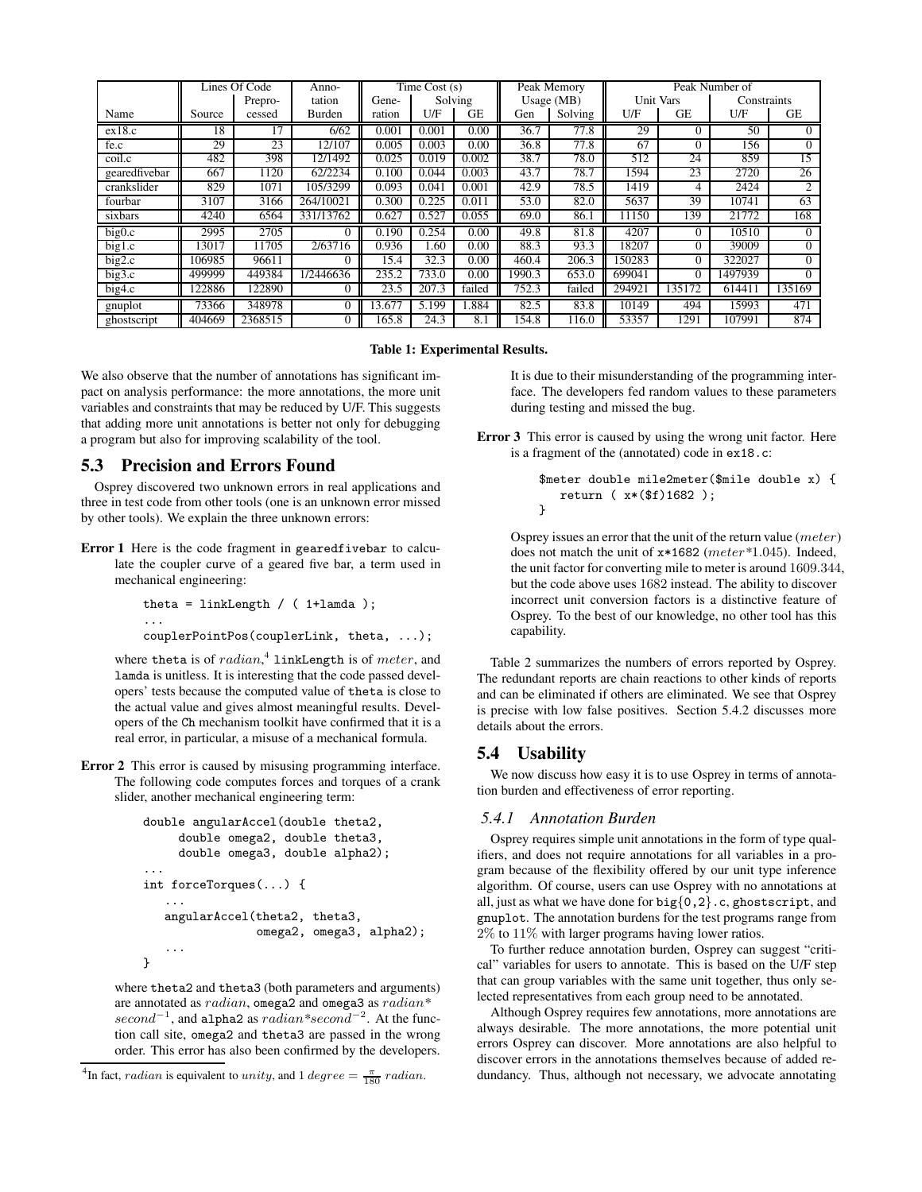|                            |        | Lines Of Code | Anno-     |        | Time $Cost(s)$ |         |        | Peak Memory  |                  |           | Peak Number of |                 |
|----------------------------|--------|---------------|-----------|--------|----------------|---------|--------|--------------|------------------|-----------|----------------|-----------------|
|                            |        | Prepro-       | tation    | Gene-  |                | Solving |        | Usage $(MB)$ | <b>Unit Vars</b> |           | Constraints    |                 |
| Name                       | Source | cessed        | Burden    | ration | U/F            | GЕ      | Gen    | Solving      | U/F              | <b>GE</b> | U/F            | GE              |
| ex18.c                     | 18     | 17            | 6/62      | 0.001  | 0.001          | 0.00    | 36.7   | 77.8         | 29               | 0         | 50             | $\Omega$        |
| fe.c                       | 29     | 23            | 12/107    | 0.005  | 0.003          | 0.00    | 36.8   | 77.8         | 67               | 0         | 156            | $\Omega$        |
| $\overline{\text{coil.c}}$ | 482    | 398           | 12/1492   | 0.025  | 0.019          | 0.002   | 38.7   | 78.0         | 512              | 24        | 859            | $\overline{15}$ |
| gearedfivebar              | 667    | 1120          | 62/2234   | 0.100  | 0.044          | 0.003   | 43.7   | 78.7         | 1594             | 23        | 2720           | 26              |
| crankslider                | 829    | 1071          | 105/3299  | 0.093  | 0.041          | 0.001   | 42.9   | 78.5         | 1419             | 4         | 2424           | 2               |
| fourbar                    | 3107   | 3166          | 264/10021 | 0.300  | 0.225          | 0.011   | 53.0   | 82.0         | 5637             | 39        | 10741          | 63              |
| sixbars                    | 4240   | 6564          | 331/13762 | 0.627  | 0.527          | 0.055   | 69.0   | 86.1         | 11150            | 139       | 21772          | 168             |
| big0.c                     | 2995   | 2705          |           | 0.190  | 0.254          | 0.00    | 49.8   | 81.8         | 4207             | 0         | 10510          | $\Omega$        |
| big1.c                     | 3017   | 11705         | 2/63716   | 0.936  | 1.60           | 0.00    | 88.3   | 93.3         | 18207            | 0         | 39009          | $\Omega$        |
| big2.c                     | 106985 | 96611         |           | 15.4   | 32.3           | 0.00    | 460.4  | 206.3        | 150283           | 0         | 322027         | $\Omega$        |
| big3.c                     | 499999 | 449384        | 1/2446636 | 235.2  | 733.0          | 0.00    | 1990.3 | 653.0        | 699041           | 0         | 1497939        |                 |
| big4.c                     | 122886 | 122890        |           | 23.5   | 207.3          | failed  | 752.3  | failed       | 294921           | 135172    | 61441          | 135169          |
| $gnup\overline{lot}$       | 73366  | 348978        |           | 13.677 | 5.199          | 1.884   | 82.5   | 83.8         | 10149            | 494       | 15993          | 471             |
| ghostscript                | 404669 | 2368515       | 0         | 165.8  | 24.3           | 8.1     | 154.8  | 116.0        | 53357            | 1291      | 107991         | 874             |

#### **Table 1: Experimental Results.**

We also observe that the number of annotations has significant impact on analysis performance: the more annotations, the more unit variables and constraints that may be reduced by U/F. This suggests that adding more unit annotations is better not only for debugging a program but also for improving scalability of the tool.

# **5.3 Precision and Errors Found**

Osprey discovered two unknown errors in real applications and three in test code from other tools (one is an unknown error missed by other tools). We explain the three unknown errors:

**Error 1** Here is the code fragment in gearedfivebar to calculate the coupler curve of a geared five bar, a term used in mechanical engineering:

```
theta = linkLength / ( 1+lamda );
...
couplerPointPos(couplerLink, theta, ...);
```
where theta is of  $radian$ ,  $4$  linkLength is of  $meter$ , and lamda is unitless. It is interesting that the code passed developers' tests because the computed value of theta is close to the actual value and gives almost meaningful results. Developers of the Ch mechanism toolkit have confirmed that it is a real error, in particular, a misuse of a mechanical formula.

**Error 2** This error is caused by misusing programming interface. The following code computes forces and torques of a crank slider, another mechanical engineering term:

```
double angularAccel(double theta2,
     double omega2, double theta3,
     double omega3, double alpha2);
...
int forceTorques(...) {
   ...
   angularAccel(theta2, theta3,
                omega2, omega3, alpha2);
   ...
}
```
where theta2 and theta3 (both parameters and arguments) are annotated as radian, omega2 and omega3 as radian*\** second<sup>-1</sup>, and alpha2 as radian<sup>\*</sup>second<sup>-2</sup>. At the function call site, omega2 and theta3 are passed in the wrong order. This error has also been confirmed by the developers.

It is due to their misunderstanding of the programming interface. The developers fed random values to these parameters during testing and missed the bug.

**Error 3** This error is caused by using the wrong unit factor. Here is a fragment of the (annotated) code in ex18.c:

```
$meter double mile2meter($mile double x) {
   return ( x*($f)1682 );
}
```
Osprey issues an error that the unit of the return value (meter) does not match the unit of x\*1682 (meter*\**1.045). Indeed, the unit factor for converting mile to meter is around 1609.344, but the code above uses 1682 instead. The ability to discover incorrect unit conversion factors is a distinctive feature of Osprey. To the best of our knowledge, no other tool has this capability.

Table 2 summarizes the numbers of errors reported by Osprey. The redundant reports are chain reactions to other kinds of reports and can be eliminated if others are eliminated. We see that Osprey is precise with low false positives. Section 5.4.2 discusses more details about the errors.

# **5.4 Usability**

We now discuss how easy it is to use Osprey in terms of annotation burden and effectiveness of error reporting.

# *5.4.1 Annotation Burden*

Osprey requires simple unit annotations in the form of type qualifiers, and does not require annotations for all variables in a program because of the flexibility offered by our unit type inference algorithm. Of course, users can use Osprey with no annotations at all, just as what we have done for big{0,2}.c, ghostscript, and gnuplot. The annotation burdens for the test programs range from 2% to 11% with larger programs having lower ratios.

To further reduce annotation burden, Osprey can suggest "critical" variables for users to annotate. This is based on the U/F step that can group variables with the same unit together, thus only selected representatives from each group need to be annotated.

Although Osprey requires few annotations, more annotations are always desirable. The more annotations, the more potential unit errors Osprey can discover. More annotations are also helpful to discover errors in the annotations themselves because of added redundancy. Thus, although not necessary, we advocate annotating

<sup>&</sup>lt;sup>4</sup>In fact, *radian* is equivalent to *unity*, and 1 *degree* =  $\frac{\pi}{180}$  *radian*.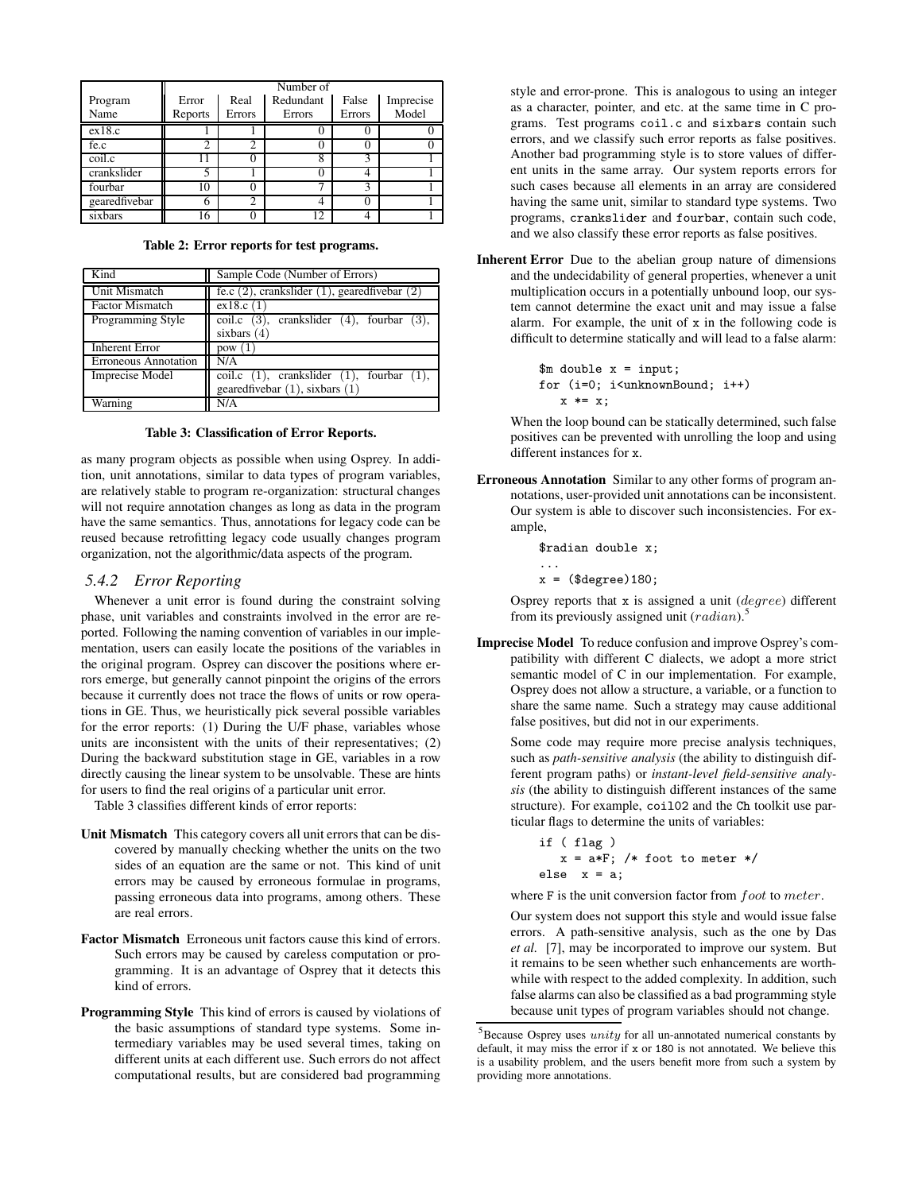|               | Number of |        |           |        |           |  |
|---------------|-----------|--------|-----------|--------|-----------|--|
| Program       | Error     | Real   | Redundant | False  | Imprecise |  |
| Name          | Reports   | Errors | Errors    | Errors | Model     |  |
| ex18.c        |           |        | 0         |        |           |  |
| fe.c          | 2         | 2      |           |        |           |  |
| coil.c        |           |        | 8         |        |           |  |
| crankslider   |           |        | 0         |        |           |  |
| fourbar       | 10        |        |           |        |           |  |
| gearedfivebar | 6         | ↑      |           |        |           |  |
| sixbars       | 16        |        | っ         |        |           |  |

**Table 2: Error reports for test programs.**

| Kind                        | Sample Code (Number of Errors)                                |
|-----------------------------|---------------------------------------------------------------|
| Unit Mismatch               | fe.c $(2)$ , crankslider $(1)$ , geared fivebar $(2)$         |
| <b>Factor Mismatch</b>      | ex18.c(1)                                                     |
| Programming Style           | $\text{coil.c } (3)$ ,<br>crankslider $(4)$ , fourbar $(3)$ , |
|                             | sixbars $(4)$                                                 |
| <b>Inherent Error</b>       | pow(1)                                                        |
| <b>Erroneous Annotation</b> | N/A                                                           |
| <b>Imprecise Model</b>      | coil.c $(1)$ , crankslider $(1)$ , fourbar $(1)$ ,            |
|                             | geared fivebar $(1)$ , sixbars $(1)$                          |
| Warning                     | N/A                                                           |

#### **Table 3: Classification of Error Reports.**

as many program objects as possible when using Osprey. In addition, unit annotations, similar to data types of program variables, are relatively stable to program re-organization: structural changes will not require annotation changes as long as data in the program have the same semantics. Thus, annotations for legacy code can be reused because retrofitting legacy code usually changes program organization, not the algorithmic/data aspects of the program.

# *5.4.2 Error Reporting*

Whenever a unit error is found during the constraint solving phase, unit variables and constraints involved in the error are reported. Following the naming convention of variables in our implementation, users can easily locate the positions of the variables in the original program. Osprey can discover the positions where errors emerge, but generally cannot pinpoint the origins of the errors because it currently does not trace the flows of units or row operations in GE. Thus, we heuristically pick several possible variables for the error reports: (1) During the U/F phase, variables whose units are inconsistent with the units of their representatives; (2) During the backward substitution stage in GE, variables in a row directly causing the linear system to be unsolvable. These are hints for users to find the real origins of a particular unit error.

Table 3 classifies different kinds of error reports:

- **Unit Mismatch** This category covers all unit errors that can be discovered by manually checking whether the units on the two sides of an equation are the same or not. This kind of unit errors may be caused by erroneous formulae in programs, passing erroneous data into programs, among others. These are real errors.
- **Factor Mismatch** Erroneous unit factors cause this kind of errors. Such errors may be caused by careless computation or programming. It is an advantage of Osprey that it detects this kind of errors.
- **Programming Style** This kind of errors is caused by violations of the basic assumptions of standard type systems. Some intermediary variables may be used several times, taking on different units at each different use. Such errors do not affect computational results, but are considered bad programming

style and error-prone. This is analogous to using an integer as a character, pointer, and etc. at the same time in C programs. Test programs coil.c and sixbars contain such errors, and we classify such error reports as false positives. Another bad programming style is to store values of different units in the same array. Our system reports errors for such cases because all elements in an array are considered having the same unit, similar to standard type systems. Two programs, crankslider and fourbar, contain such code, and we also classify these error reports as false positives.

**Inherent Error** Due to the abelian group nature of dimensions and the undecidability of general properties, whenever a unit multiplication occurs in a potentially unbound loop, our system cannot determine the exact unit and may issue a false alarm. For example, the unit of  $x$  in the following code is difficult to determine statically and will lead to a false alarm:

```
m double x = input;for (i=0; i<unknownBound; i++)
   x * = x;
```
When the loop bound can be statically determined, such false positives can be prevented with unrolling the loop and using different instances for x.

**Erroneous Annotation** Similar to any other forms of program annotations, user-provided unit annotations can be inconsistent. Our system is able to discover such inconsistencies. For example,

> \$radian double x; ...

> $x =$  (\$degree)180;

Osprey reports that x is assigned a unit (degree) different from its previously assigned unit  $(radian)$ .<sup>5</sup>

**Imprecise Model** To reduce confusion and improve Osprey's compatibility with different C dialects, we adopt a more strict semantic model of C in our implementation. For example, Osprey does not allow a structure, a variable, or a function to share the same name. Such a strategy may cause additional false positives, but did not in our experiments.

Some code may require more precise analysis techniques, such as *path-sensitive analysis* (the ability to distinguish different program paths) or *instant-level field-sensitive analysis* (the ability to distinguish different instances of the same structure). For example, coil02 and the Ch toolkit use particular flags to determine the units of variables:

```
if ( flag )
  x = a*F; /* foot to meter */
else x = a;
```
where F is the unit conversion factor from  $foot$  to meter.

Our system does not support this style and would issue false errors. A path-sensitive analysis, such as the one by Das *et al.* [7], may be incorporated to improve our system. But it remains to be seen whether such enhancements are worthwhile with respect to the added complexity. In addition, such false alarms can also be classified as a bad programming style because unit types of program variables should not change.

 $5B$ ecause Osprey uses *unity* for all un-annotated numerical constants by default, it may miss the error if x or 180 is not annotated. We believe this is a usability problem, and the users benefit more from such a system by providing more annotations.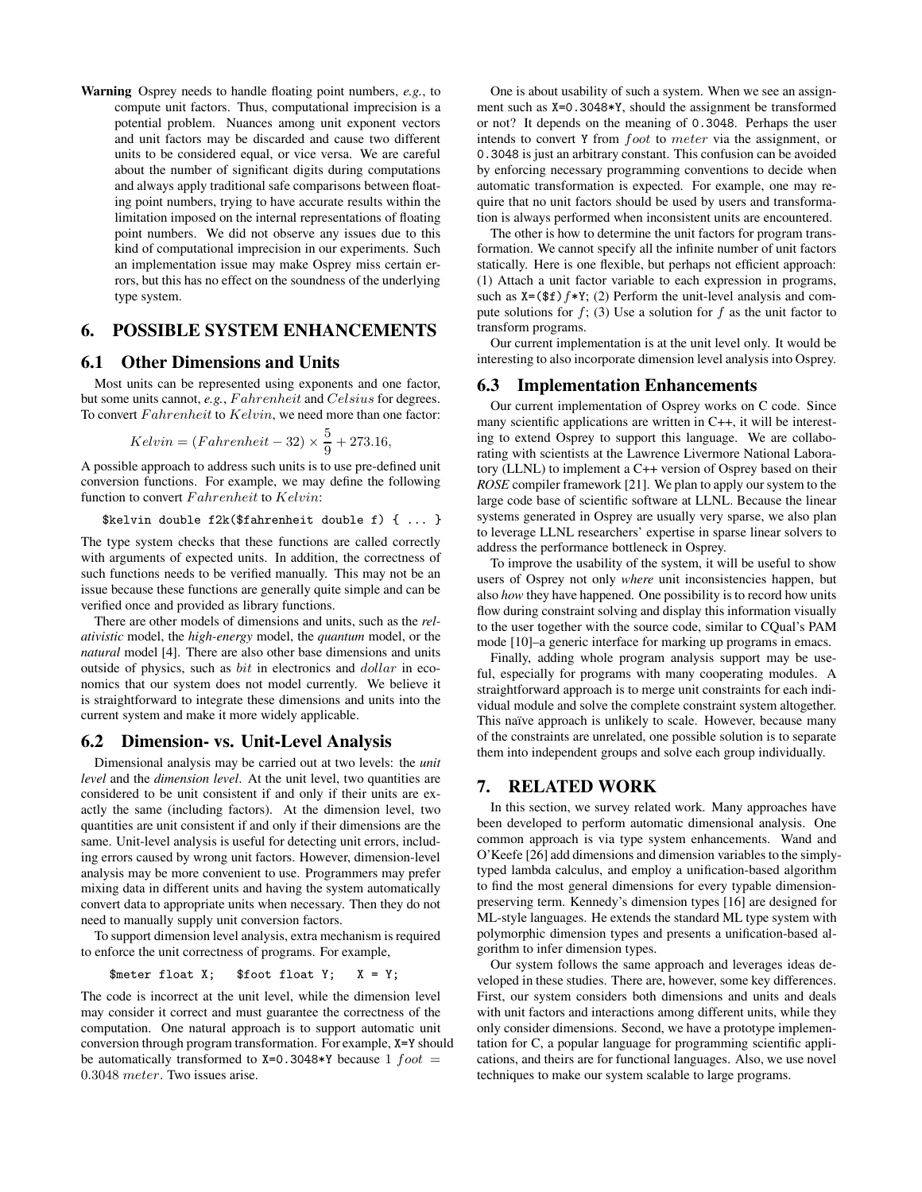**Warning** Osprey needs to handle floating point numbers, *e.g.*, to compute unit factors. Thus, computational imprecision is a potential problem. Nuances among unit exponent vectors and unit factors may be discarded and cause two different units to be considered equal, or vice versa. We are careful about the number of significant digits during computations and always apply traditional safe comparisons between floating point numbers, trying to have accurate results within the limitation imposed on the internal representations of floating point numbers. We did not observe any issues due to this kind of computational imprecision in our experiments. Such an implementation issue may make Osprey miss certain errors, but this has no effect on the soundness of the underlying type system.

# **6. POSSIBLE SYSTEM ENHANCEMENTS**

### **6.1 Other Dimensions and Units**

Most units can be represented using exponents and one factor, but some units cannot, *e.g.*, Fahrenheit and Celsius for degrees. To convert Fahrenheit to Kelvin, we need more than one factor:

$$
Kelvin = (Fahrenheit - 32) \times \frac{5}{9} + 273.16,
$$

A possible approach to address such units is to use pre-defined unit conversion functions. For example, we may define the following function to convert Fahrenheit to Kelvin:

\$kelvin double f2k(\$fahrenheit double f) { ... }

The type system checks that these functions are called correctly with arguments of expected units. In addition, the correctness of such functions needs to be verified manually. This may not be an issue because these functions are generally quite simple and can be verified once and provided as library functions.

There are other models of dimensions and units, such as the *relativistic* model, the *high-energy* model, the *quantum* model, or the *natural* model [4]. There are also other base dimensions and units outside of physics, such as bit in electronics and dollar in economics that our system does not model currently. We believe it is straightforward to integrate these dimensions and units into the current system and make it more widely applicable.

# **6.2 Dimension- vs. Unit-Level Analysis**

Dimensional analysis may be carried out at two levels: the *unit level* and the *dimension level*. At the unit level, two quantities are considered to be unit consistent if and only if their units are exactly the same (including factors). At the dimension level, two quantities are unit consistent if and only if their dimensions are the same. Unit-level analysis is useful for detecting unit errors, including errors caused by wrong unit factors. However, dimension-level analysis may be more convenient to use. Programmers may prefer mixing data in different units and having the system automatically convert data to appropriate units when necessary. Then they do not need to manually supply unit conversion factors.

To support dimension level analysis, extra mechanism isrequired to enforce the unit correctness of programs. For example,

\$meter float X; \$foot float Y;  $X = Y$ ;

The code is incorrect at the unit level, while the dimension level may consider it correct and must guarantee the correctness of the computation. One natural approach is to support automatic unit conversion through program transformation. For example, X=Y should be automatically transformed to  $X=0.3048*Y$  because 1  $foot =$ 0.3048 meter. Two issues arise.

One is about usability of such a system. When we see an assignment such as X=0.3048\*Y, should the assignment be transformed or not? It depends on the meaning of 0.3048. Perhaps the user intends to convert Y from foot to meter via the assignment, or 0.3048 is just an arbitrary constant. This confusion can be avoided by enforcing necessary programming conventions to decide when automatic transformation is expected. For example, one may require that no unit factors should be used by users and transformation is always performed when inconsistent units are encountered.

The other is how to determine the unit factors for program transformation. We cannot specify all the infinite number of unit factors statically. Here is one flexible, but perhaps not efficient approach: (1) Attach a unit factor variable to each expression in programs, such as  $X=(f*f)f*Y$ ; (2) Perform the unit-level analysis and compute solutions for  $f$ ; (3) Use a solution for  $f$  as the unit factor to transform programs.

Our current implementation is at the unit level only. It would be interesting to also incorporate dimension level analysis into Osprey.

### **6.3 Implementation Enhancements**

Our current implementation of Osprey works on C code. Since many scientific applications are written in C++, it will be interesting to extend Osprey to support this language. We are collaborating with scientists at the Lawrence Livermore National Laboratory (LLNL) to implement a C++ version of Osprey based on their *ROSE* compiler framework [21]. We plan to apply our system to the large code base of scientific software at LLNL. Because the linear systems generated in Osprey are usually very sparse, we also plan to leverage LLNL researchers' expertise in sparse linear solvers to address the performance bottleneck in Osprey.

To improve the usability of the system, it will be useful to show users of Osprey not only *where* unit inconsistencies happen, but also *how* they have happened. One possibility is to record how units flow during constraint solving and display this information visually to the user together with the source code, similar to CQual's PAM mode [10]–a generic interface for marking up programs in emacs.

Finally, adding whole program analysis support may be useful, especially for programs with many cooperating modules. A straightforward approach is to merge unit constraints for each individual module and solve the complete constraint system altogether. This naïve approach is unlikely to scale. However, because many of the constraints are unrelated, one possible solution is to separate them into independent groups and solve each group individually.

# **7. RELATED WORK**

In this section, we survey related work. Many approaches have been developed to perform automatic dimensional analysis. One common approach is via type system enhancements. Wand and O'Keefe [26] add dimensions and dimension variables to the simplytyped lambda calculus, and employ a unification-based algorithm to find the most general dimensions for every typable dimensionpreserving term. Kennedy's dimension types [16] are designed for ML-style languages. He extends the standard ML type system with polymorphic dimension types and presents a unification-based algorithm to infer dimension types.

Our system follows the same approach and leverages ideas developed in these studies. There are, however, some key differences. First, our system considers both dimensions and units and deals with unit factors and interactions among different units, while they only consider dimensions. Second, we have a prototype implementation for C, a popular language for programming scientific applications, and theirs are for functional languages. Also, we use novel techniques to make our system scalable to large programs.